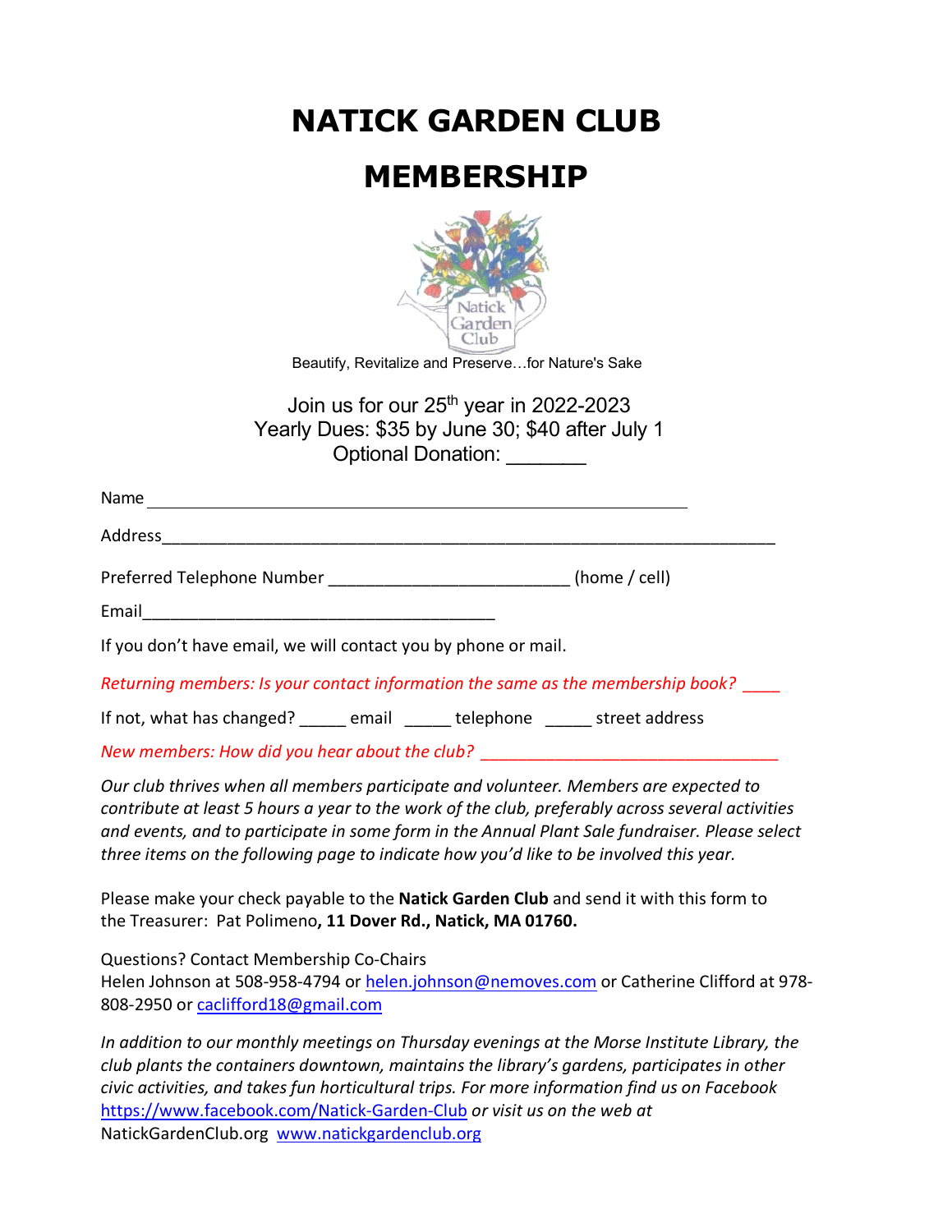**NATICK GARDEN CLUB**

## **MEMBERSHIP**



Beautify, Revitalize and Preserve…for Nature's Sake

Join us for our  $25<sup>th</sup>$  vear in 2022-2023 Yearly Dues: \$35 by June 30; \$40 after July 1 Optional Donation: \_\_\_\_\_\_\_

| Name                                                                            |  |  |  |
|---------------------------------------------------------------------------------|--|--|--|
|                                                                                 |  |  |  |
| (home $/$ cell)                                                                 |  |  |  |
| Email <u>__________________________</u>                                         |  |  |  |
| If you don't have email, we will contact you by phone or mail.                  |  |  |  |
| Returning members: Is your contact information the same as the membership book? |  |  |  |
| If not, what has changed? _____ email _____ telephone _____ street address      |  |  |  |
|                                                                                 |  |  |  |

*New members: How did you hear about the club?* 

*Our club thrives when all members participate and volunteer. Members are expected to contribute at least 5 hours a year to the work of the club, preferably across several activities and events, and to participate in some form in the Annual Plant Sale fundraiser. Please select three items on the following page to indicate how you'd like to be involved this year.*

Please make your check payable to the **Natick Garden Club** and send it with this form to the Treasurer: Pat Polimeno**, 11 Dover Rd., Natick, MA 01760.**

Questions? Contact Membership Co-Chairs

Helen Johnson at 508-958-4794 or [helen.johnson@nemoves.com](mailto:helen.johnson@nemoves.com) or Catherine Clifford at 978-808-2950 or [caclifford18@gmail.com](mailto:caclifford18@gmail.com)

*In addition to our monthly meetings on Thursday evenings at the Morse Institute Library, the club plants the containers downtown, maintains the library's gardens, participates in other civic activities, and takes fun horticultural trips. For more information find us on Facebook* <https://www.facebook.com/Natick-Garden-Club> *or visit us on the web at* NatickGardenClub.org [www.natickgardenclub.org](http://www.natickgardenclub.org/)